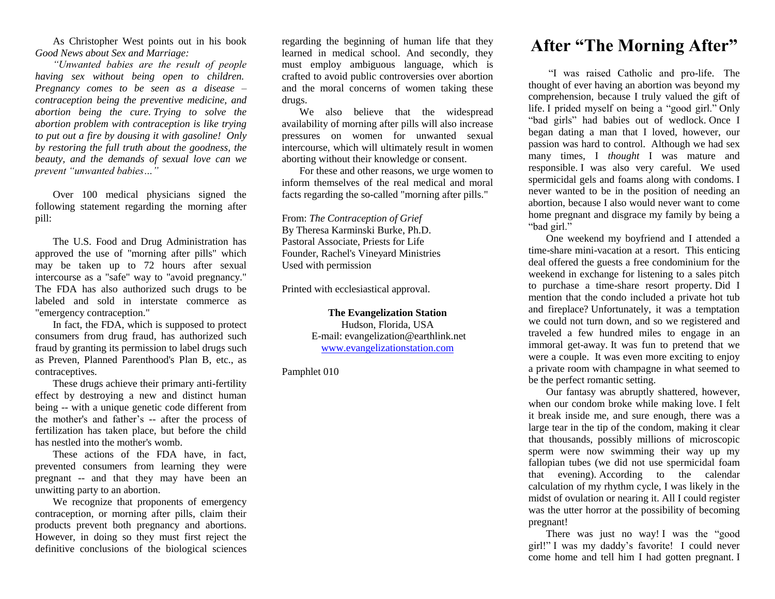As Christopher West points out in his book *Good News about Sex and Marriage:*

*"Unwanted babies are the result of people having sex without being open to children. Pregnancy comes to be seen as a disease – contraception being the preventive medicine, and abortion being the cure. Trying to solve the abortion problem with contraception is like trying to put out a fire by dousing it with gasoline! Only by restoring the full truth about the goodness, the beauty, and the demands of sexual love can we prevent "unwanted babies…"*

Over 100 medical physicians signed the following statement regarding the morning after pill:

The U.S. Food and Drug Administration has approved the use of "morning after pills" which may be taken up to 72 hours after sexual intercourse as a "safe" way to "avoid pregnancy." The FDA has also authorized such drugs to be labeled and sold in interstate commerce as "emergency contraception."

In fact, the FDA, which is supposed to protect consumers from drug fraud, has authorized such fraud by granting its permission to label drugs such as Preven, Planned Parenthood's Plan B, etc., as contraceptives.

These drugs achieve their primary anti-fertility effect by destroying a new and distinct human being -- with a unique genetic code different from the mother's and father's -- after the process of fertilization has taken place, but before the child has nestled into the mother's womb.

These actions of the FDA have, in fact, prevented consumers from learning they were pregnant -- and that they may have been an unwitting party to an abortion.

We recognize that proponents of emergency contraception, or morning after pills, claim their products prevent both pregnancy and abortions. However, in doing so they must first reject the definitive conclusions of the biological sciences

regarding the beginning of human life that they learned in medical school. And secondly, they must employ ambiguous language, which is crafted to avoid public controversies over abortion and the moral concerns of women taking these drugs.

We also believe that the widespread availability of morning after pills will also increase pressures on women for unwanted sexual intercourse, which will ultimately result in women aborting without their knowledge or consent.

For these and other reasons, we urge women to inform themselves of the real medical and moral facts regarding the so-called "morning after pills."

From: *The Contraception of Grief* By Theresa Karminski Burke, Ph.D. Pastoral Associate, Priests for Life Founder, Rachel's Vineyard Ministries Used with permission

Printed with ecclesiastical approval.

**The Evangelization Station** Hudson, Florida, USA E-mail: evangelization@earthlink.net [www.evangelizationstation.com](http://www.pjpiisoe.org/)

Pamphlet 010

## **After "The Morning After"**

"I was raised Catholic and pro-life. The thought of ever having an abortion was beyond my comprehension, because I truly valued the gift of life. I prided myself on being a "good girl." Only "bad girls" had babies out of wedlock. Once I began dating a man that I loved, however, our passion was hard to control. Although we had sex many times, I *thought* I was mature and responsible. I was also very careful. We used spermicidal gels and foams along with condoms. I never wanted to be in the position of needing an abortion, because I also would never want to come home pregnant and disgrace my family by being a "bad girl."

One weekend my boyfriend and I attended a time-share mini-vacation at a resort. This enticing deal offered the guests a free condominium for the weekend in exchange for listening to a sales pitch to purchase a time-share resort property. Did I mention that the condo included a private hot tub and fireplace? Unfortunately, it was a temptation we could not turn down, and so we registered and traveled a few hundred miles to engage in an immoral get-away. It was fun to pretend that we were a couple. It was even more exciting to enjoy a private room with champagne in what seemed to be the perfect romantic setting.

Our fantasy was abruptly shattered, however, when our condom broke while making love. I felt it break inside me, and sure enough, there was a large tear in the tip of the condom, making it clear that thousands, possibly millions of microscopic sperm were now swimming their way up my fallopian tubes (we did not use spermicidal foam that evening). According to the calendar calculation of my rhythm cycle, I was likely in the midst of ovulation or nearing it. All I could register was the utter horror at the possibility of becoming pregnant!

There was just no way! I was the "good girl!" I was my daddy's favorite! I could never come home and tell him I had gotten pregnant. I